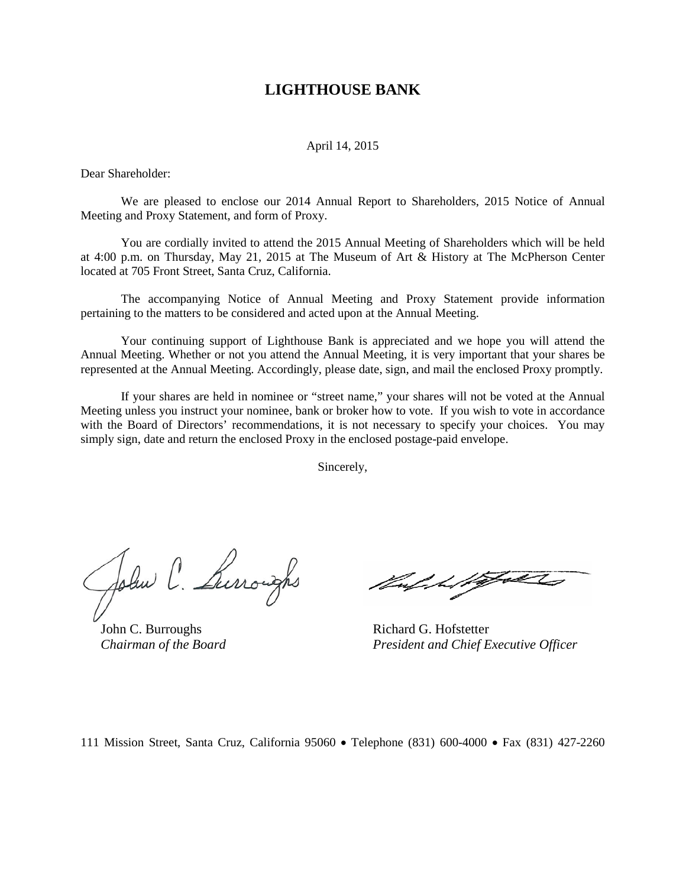# **LIGHTHOUSE BANK**

## April 14, 2015

Dear Shareholder:

We are pleased to enclose our 2014 Annual Report to Shareholders, 2015 Notice of Annual Meeting and Proxy Statement, and form of Proxy.

You are cordially invited to attend the 2015 Annual Meeting of Shareholders which will be held at 4:00 p.m. on Thursday, May 21, 2015 at The Museum of Art & History at The McPherson Center located at 705 Front Street, Santa Cruz, California.

The accompanying Notice of Annual Meeting and Proxy Statement provide information pertaining to the matters to be considered and acted upon at the Annual Meeting.

Your continuing support of Lighthouse Bank is appreciated and we hope you will attend the Annual Meeting. Whether or not you attend the Annual Meeting, it is very important that your shares be represented at the Annual Meeting. Accordingly, please date, sign, and mail the enclosed Proxy promptly.

If your shares are held in nominee or "street name," your shares will not be voted at the Annual Meeting unless you instruct your nominee, bank or broker how to vote. If you wish to vote in accordance with the Board of Directors' recommendations, it is not necessary to specify your choices. You may simply sign, date and return the enclosed Proxy in the enclosed postage-paid envelope.

Sincerely,

John C. Luroughs

John C. Burroughs Richard G. Hofstetter

 *Chairman of the Board President and Chief Executive Officer*

111 Mission Street, Santa Cruz, California 95060 • Telephone (831) 600-4000 • Fax (831) 427-2260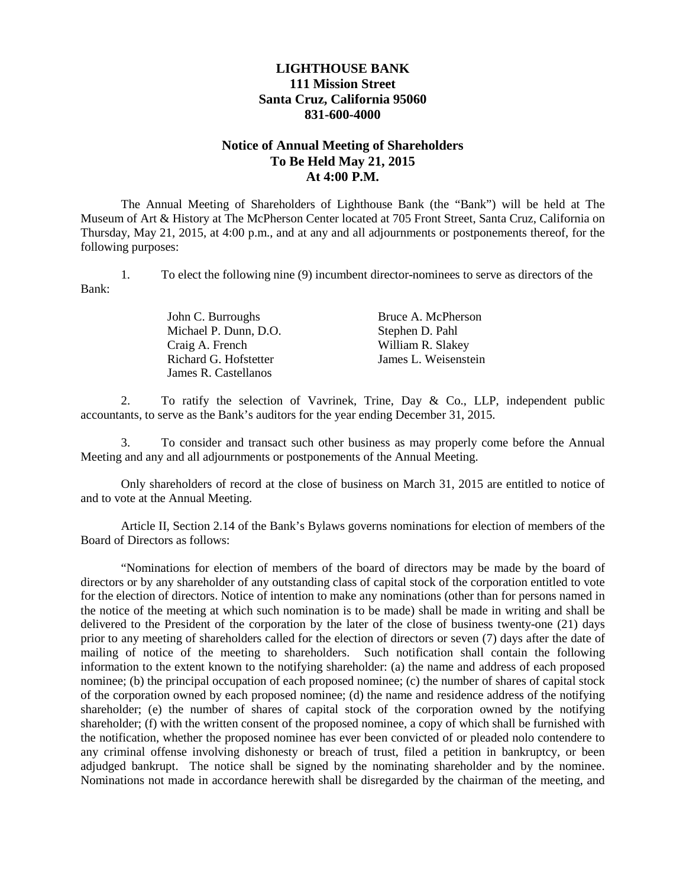# **LIGHTHOUSE BANK 111 Mission Street Santa Cruz, California 95060 831-600-4000**

# **Notice of Annual Meeting of Shareholders To Be Held May 21, 2015 At 4:00 P.M.**

The Annual Meeting of Shareholders of Lighthouse Bank (the "Bank") will be held at The Museum of Art & History at The McPherson Center located at 705 Front Street, Santa Cruz, California on Thursday, May 21, 2015, at 4:00 p.m., and at any and all adjournments or postponements thereof, for the following purposes:

1. To elect the following nine (9) incumbent director-nominees to serve as directors of the Bank:

| John C. Burroughs     | Bruce A. McPherson   |
|-----------------------|----------------------|
| Michael P. Dunn, D.O. | Stephen D. Pahl      |
| Craig A. French       | William R. Slakey    |
| Richard G. Hofstetter | James L. Weisenstein |
| James R. Castellanos  |                      |

2. To ratify the selection of Vavrinek, Trine, Day & Co., LLP, independent public accountants, to serve as the Bank's auditors for the year ending December 31, 2015.

3. To consider and transact such other business as may properly come before the Annual Meeting and any and all adjournments or postponements of the Annual Meeting.

Only shareholders of record at the close of business on March 31, 2015 are entitled to notice of and to vote at the Annual Meeting.

Article II, Section 2.14 of the Bank's Bylaws governs nominations for election of members of the Board of Directors as follows:

"Nominations for election of members of the board of directors may be made by the board of directors or by any shareholder of any outstanding class of capital stock of the corporation entitled to vote for the election of directors. Notice of intention to make any nominations (other than for persons named in the notice of the meeting at which such nomination is to be made) shall be made in writing and shall be delivered to the President of the corporation by the later of the close of business twenty-one (21) days prior to any meeting of shareholders called for the election of directors or seven (7) days after the date of mailing of notice of the meeting to shareholders. Such notification shall contain the following information to the extent known to the notifying shareholder: (a) the name and address of each proposed nominee; (b) the principal occupation of each proposed nominee; (c) the number of shares of capital stock of the corporation owned by each proposed nominee; (d) the name and residence address of the notifying shareholder; (e) the number of shares of capital stock of the corporation owned by the notifying shareholder; (f) with the written consent of the proposed nominee, a copy of which shall be furnished with the notification, whether the proposed nominee has ever been convicted of or pleaded nolo contendere to any criminal offense involving dishonesty or breach of trust, filed a petition in bankruptcy, or been adjudged bankrupt. The notice shall be signed by the nominating shareholder and by the nominee. Nominations not made in accordance herewith shall be disregarded by the chairman of the meeting, and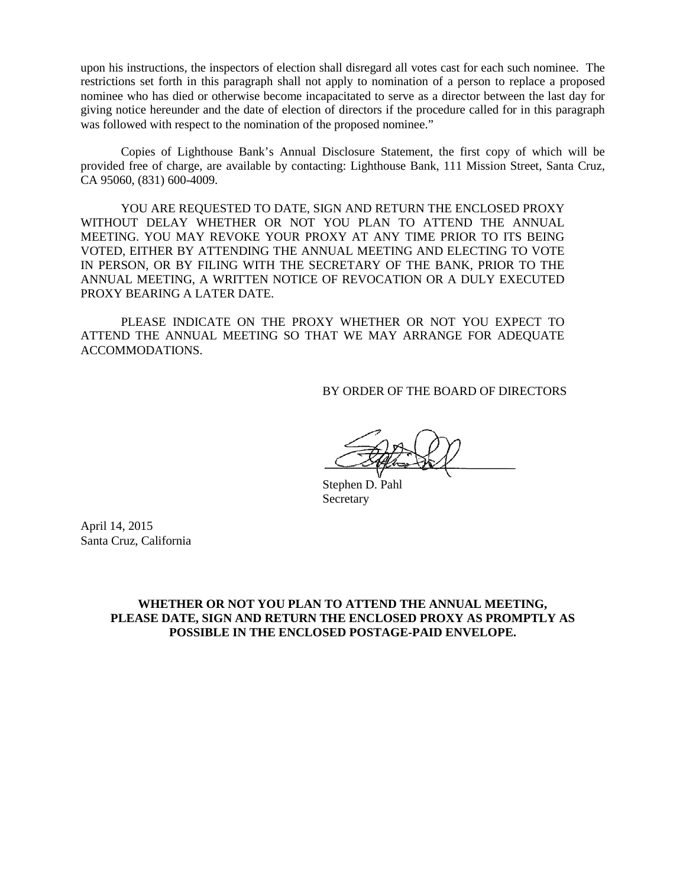upon his instructions, the inspectors of election shall disregard all votes cast for each such nominee. The restrictions set forth in this paragraph shall not apply to nomination of a person to replace a proposed nominee who has died or otherwise become incapacitated to serve as a director between the last day for giving notice hereunder and the date of election of directors if the procedure called for in this paragraph was followed with respect to the nomination of the proposed nominee."

Copies of Lighthouse Bank's Annual Disclosure Statement, the first copy of which will be provided free of charge, are available by contacting: Lighthouse Bank, 111 Mission Street, Santa Cruz, CA 95060, (831) 600-4009.

YOU ARE REQUESTED TO DATE, SIGN AND RETURN THE ENCLOSED PROXY WITHOUT DELAY WHETHER OR NOT YOU PLAN TO ATTEND THE ANNUAL MEETING. YOU MAY REVOKE YOUR PROXY AT ANY TIME PRIOR TO ITS BEING VOTED, EITHER BY ATTENDING THE ANNUAL MEETING AND ELECTING TO VOTE IN PERSON, OR BY FILING WITH THE SECRETARY OF THE BANK, PRIOR TO THE ANNUAL MEETING, A WRITTEN NOTICE OF REVOCATION OR A DULY EXECUTED PROXY BEARING A LATER DATE.

PLEASE INDICATE ON THE PROXY WHETHER OR NOT YOU EXPECT TO ATTEND THE ANNUAL MEETING SO THAT WE MAY ARRANGE FOR ADEQUATE ACCOMMODATIONS.

BY ORDER OF THE BOARD OF DIRECTORS

Stephen D. Pahl Secretary

April 14, 2015 Santa Cruz, California

# **WHETHER OR NOT YOU PLAN TO ATTEND THE ANNUAL MEETING, PLEASE DATE, SIGN AND RETURN THE ENCLOSED PROXY AS PROMPTLY AS POSSIBLE IN THE ENCLOSED POSTAGE-PAID ENVELOPE.**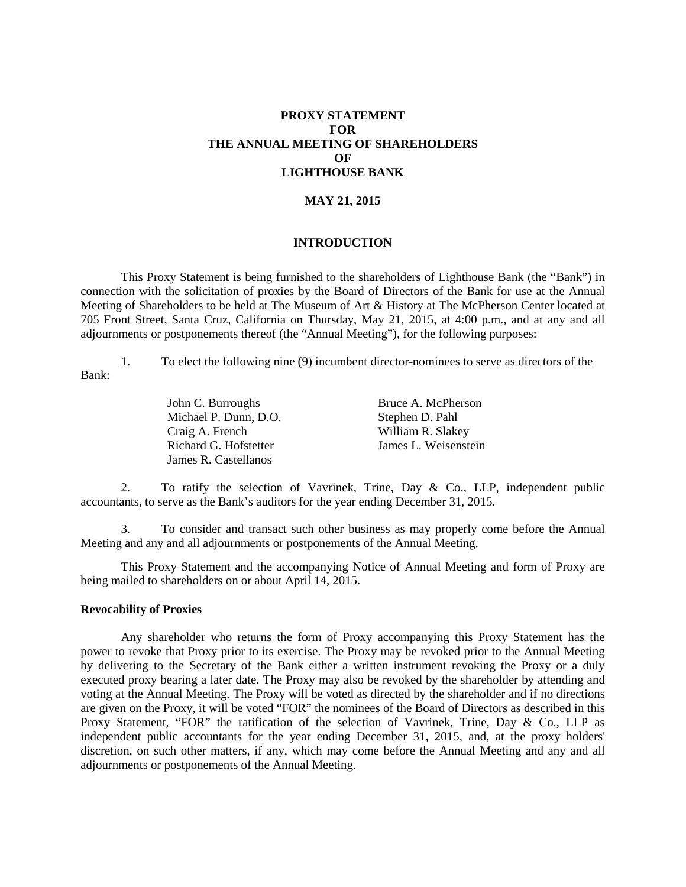# **PROXY STATEMENT FOR THE ANNUAL MEETING OF SHAREHOLDERS OF LIGHTHOUSE BANK**

# **MAY 21, 2015**

## **INTRODUCTION**

This Proxy Statement is being furnished to the shareholders of Lighthouse Bank (the "Bank") in connection with the solicitation of proxies by the Board of Directors of the Bank for use at the Annual Meeting of Shareholders to be held at The Museum of Art & History at The McPherson Center located at 705 Front Street, Santa Cruz, California on Thursday, May 21, 2015, at 4:00 p.m., and at any and all adjournments or postponements thereof (the "Annual Meeting"), for the following purposes:

1. To elect the following nine (9) incumbent director-nominees to serve as directors of the Bank:

> John C. Burroughs Bruce A. McPherson Michael P. Dunn, D.O. Stephen D. Pahl Craig A. French Richard G. Hofstetter James R. Castellanos

William R. Slakey James L. Weisenstein

2. To ratify the selection of Vavrinek, Trine, Day & Co., LLP, independent public accountants, to serve as the Bank's auditors for the year ending December 31, 2015.

3. To consider and transact such other business as may properly come before the Annual Meeting and any and all adjournments or postponements of the Annual Meeting.

This Proxy Statement and the accompanying Notice of Annual Meeting and form of Proxy are being mailed to shareholders on or about April 14, 2015.

# **Revocability of Proxies**

Any shareholder who returns the form of Proxy accompanying this Proxy Statement has the power to revoke that Proxy prior to its exercise. The Proxy may be revoked prior to the Annual Meeting by delivering to the Secretary of the Bank either a written instrument revoking the Proxy or a duly executed proxy bearing a later date. The Proxy may also be revoked by the shareholder by attending and voting at the Annual Meeting. The Proxy will be voted as directed by the shareholder and if no directions are given on the Proxy, it will be voted "FOR" the nominees of the Board of Directors as described in this Proxy Statement, "FOR" the ratification of the selection of Vavrinek, Trine, Day & Co., LLP as independent public accountants for the year ending December 31, 2015, and, at the proxy holders' discretion, on such other matters, if any, which may come before the Annual Meeting and any and all adjournments or postponements of the Annual Meeting.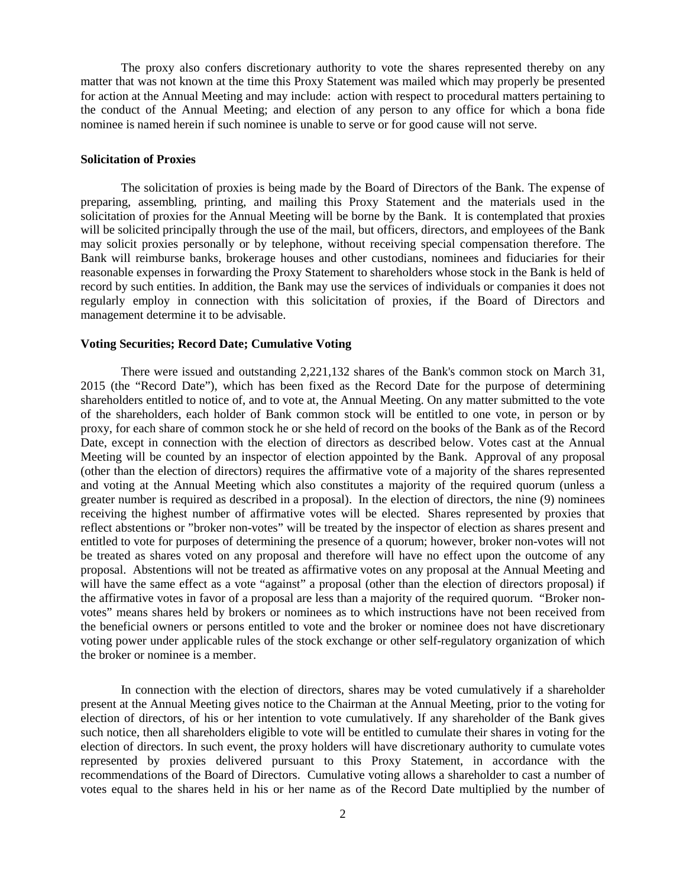The proxy also confers discretionary authority to vote the shares represented thereby on any matter that was not known at the time this Proxy Statement was mailed which may properly be presented for action at the Annual Meeting and may include: action with respect to procedural matters pertaining to the conduct of the Annual Meeting; and election of any person to any office for which a bona fide nominee is named herein if such nominee is unable to serve or for good cause will not serve.

## **Solicitation of Proxies**

The solicitation of proxies is being made by the Board of Directors of the Bank. The expense of preparing, assembling, printing, and mailing this Proxy Statement and the materials used in the solicitation of proxies for the Annual Meeting will be borne by the Bank. It is contemplated that proxies will be solicited principally through the use of the mail, but officers, directors, and employees of the Bank may solicit proxies personally or by telephone, without receiving special compensation therefore. The Bank will reimburse banks, brokerage houses and other custodians, nominees and fiduciaries for their reasonable expenses in forwarding the Proxy Statement to shareholders whose stock in the Bank is held of record by such entities. In addition, the Bank may use the services of individuals or companies it does not regularly employ in connection with this solicitation of proxies, if the Board of Directors and management determine it to be advisable.

## **Voting Securities; Record Date; Cumulative Voting**

There were issued and outstanding 2,221,132 shares of the Bank's common stock on March 31, 2015 (the "Record Date"), which has been fixed as the Record Date for the purpose of determining shareholders entitled to notice of, and to vote at, the Annual Meeting. On any matter submitted to the vote of the shareholders, each holder of Bank common stock will be entitled to one vote, in person or by proxy, for each share of common stock he or she held of record on the books of the Bank as of the Record Date, except in connection with the election of directors as described below. Votes cast at the Annual Meeting will be counted by an inspector of election appointed by the Bank. Approval of any proposal (other than the election of directors) requires the affirmative vote of a majority of the shares represented and voting at the Annual Meeting which also constitutes a majority of the required quorum (unless a greater number is required as described in a proposal). In the election of directors, the nine (9) nominees receiving the highest number of affirmative votes will be elected. Shares represented by proxies that reflect abstentions or "broker non-votes" will be treated by the inspector of election as shares present and entitled to vote for purposes of determining the presence of a quorum; however, broker non-votes will not be treated as shares voted on any proposal and therefore will have no effect upon the outcome of any proposal. Abstentions will not be treated as affirmative votes on any proposal at the Annual Meeting and will have the same effect as a vote "against" a proposal (other than the election of directors proposal) if the affirmative votes in favor of a proposal are less than a majority of the required quorum. "Broker nonvotes" means shares held by brokers or nominees as to which instructions have not been received from the beneficial owners or persons entitled to vote and the broker or nominee does not have discretionary voting power under applicable rules of the stock exchange or other self-regulatory organization of which the broker or nominee is a member.

In connection with the election of directors, shares may be voted cumulatively if a shareholder present at the Annual Meeting gives notice to the Chairman at the Annual Meeting, prior to the voting for election of directors, of his or her intention to vote cumulatively. If any shareholder of the Bank gives such notice, then all shareholders eligible to vote will be entitled to cumulate their shares in voting for the election of directors. In such event, the proxy holders will have discretionary authority to cumulate votes represented by proxies delivered pursuant to this Proxy Statement, in accordance with the recommendations of the Board of Directors. Cumulative voting allows a shareholder to cast a number of votes equal to the shares held in his or her name as of the Record Date multiplied by the number of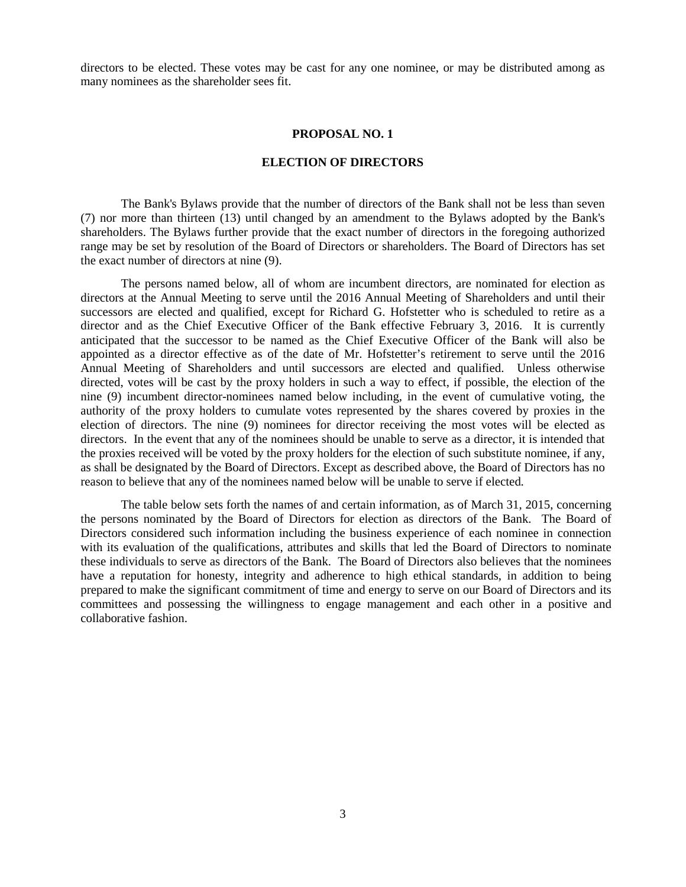directors to be elected. These votes may be cast for any one nominee, or may be distributed among as many nominees as the shareholder sees fit.

#### **PROPOSAL NO. 1**

#### **ELECTION OF DIRECTORS**

The Bank's Bylaws provide that the number of directors of the Bank shall not be less than seven (7) nor more than thirteen (13) until changed by an amendment to the Bylaws adopted by the Bank's shareholders. The Bylaws further provide that the exact number of directors in the foregoing authorized range may be set by resolution of the Board of Directors or shareholders. The Board of Directors has set the exact number of directors at nine (9).

The persons named below, all of whom are incumbent directors, are nominated for election as directors at the Annual Meeting to serve until the 2016 Annual Meeting of Shareholders and until their successors are elected and qualified, except for Richard G. Hofstetter who is scheduled to retire as a director and as the Chief Executive Officer of the Bank effective February 3, 2016. It is currently anticipated that the successor to be named as the Chief Executive Officer of the Bank will also be appointed as a director effective as of the date of Mr. Hofstetter's retirement to serve until the 2016 Annual Meeting of Shareholders and until successors are elected and qualified. Unless otherwise directed, votes will be cast by the proxy holders in such a way to effect, if possible, the election of the nine (9) incumbent director-nominees named below including, in the event of cumulative voting, the authority of the proxy holders to cumulate votes represented by the shares covered by proxies in the election of directors. The nine (9) nominees for director receiving the most votes will be elected as directors. In the event that any of the nominees should be unable to serve as a director, it is intended that the proxies received will be voted by the proxy holders for the election of such substitute nominee, if any, as shall be designated by the Board of Directors. Except as described above, the Board of Directors has no reason to believe that any of the nominees named below will be unable to serve if elected.

The table below sets forth the names of and certain information, as of March 31, 2015, concerning the persons nominated by the Board of Directors for election as directors of the Bank. The Board of Directors considered such information including the business experience of each nominee in connection with its evaluation of the qualifications, attributes and skills that led the Board of Directors to nominate these individuals to serve as directors of the Bank. The Board of Directors also believes that the nominees have a reputation for honesty, integrity and adherence to high ethical standards, in addition to being prepared to make the significant commitment of time and energy to serve on our Board of Directors and its committees and possessing the willingness to engage management and each other in a positive and collaborative fashion.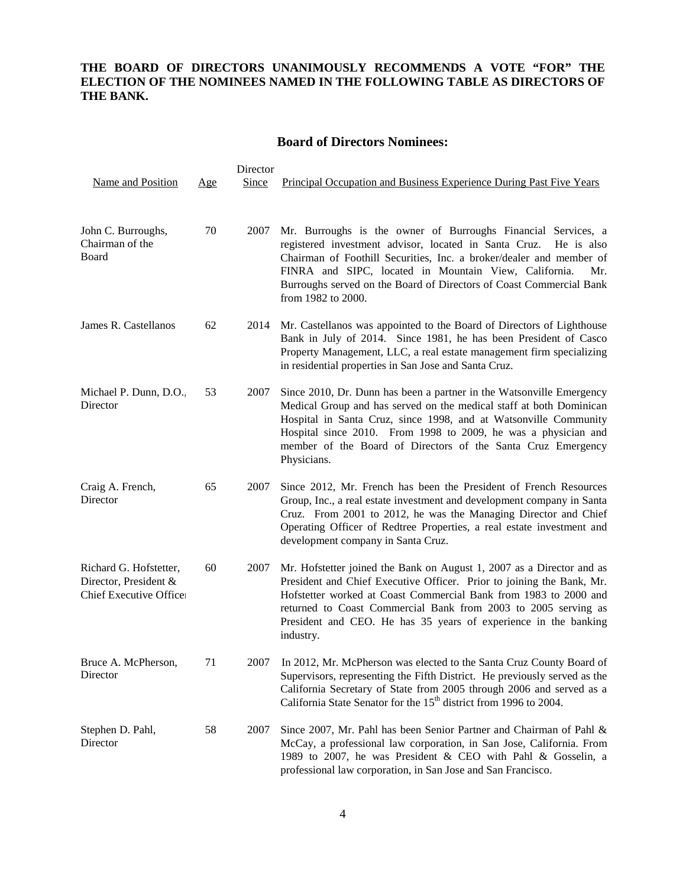# **THE BOARD OF DIRECTORS UNANIMOUSLY RECOMMENDS A VOTE "FOR" THE ELECTION OF THE NOMINEES NAMED IN THE FOLLOWING TABLE AS DIRECTORS OF THE BANK.**

# **Board of Directors Nominees:**

| Director                                                                   |     |       |                                                                                                                                                                                                                                                                                                                                                                          |  |  |
|----------------------------------------------------------------------------|-----|-------|--------------------------------------------------------------------------------------------------------------------------------------------------------------------------------------------------------------------------------------------------------------------------------------------------------------------------------------------------------------------------|--|--|
| Name and Position                                                          | Age | Since | Principal Occupation and Business Experience During Past Five Years                                                                                                                                                                                                                                                                                                      |  |  |
| John C. Burroughs,<br>Chairman of the<br>Board                             | 70  | 2007  | Mr. Burroughs is the owner of Burroughs Financial Services, a<br>registered investment advisor, located in Santa Cruz.<br>He is also<br>Chairman of Foothill Securities, Inc. a broker/dealer and member of<br>FINRA and SIPC, located in Mountain View, California.<br>Mr.<br>Burroughs served on the Board of Directors of Coast Commercial Bank<br>from 1982 to 2000. |  |  |
| James R. Castellanos                                                       | 62  | 2014  | Mr. Castellanos was appointed to the Board of Directors of Lighthouse<br>Bank in July of 2014. Since 1981, he has been President of Casco<br>Property Management, LLC, a real estate management firm specializing<br>in residential properties in San Jose and Santa Cruz.                                                                                               |  |  |
| Michael P. Dunn, D.O.<br>Director                                          | 53  | 2007  | Since 2010, Dr. Dunn has been a partner in the Watsonville Emergency<br>Medical Group and has served on the medical staff at both Dominican<br>Hospital in Santa Cruz, since 1998, and at Watsonville Community<br>Hospital since 2010. From 1998 to 2009, he was a physician and<br>member of the Board of Directors of the Santa Cruz Emergency<br>Physicians.         |  |  |
| Craig A. French,<br>Director                                               | 65  | 2007  | Since 2012, Mr. French has been the President of French Resources<br>Group, Inc., a real estate investment and development company in Santa<br>Cruz. From 2001 to 2012, he was the Managing Director and Chief<br>Operating Officer of Redtree Properties, a real estate investment and<br>development company in Santa Cruz.                                            |  |  |
| Richard G. Hofstetter,<br>Director, President &<br>Chief Executive Office: | 60  | 2007  | Mr. Hofstetter joined the Bank on August 1, 2007 as a Director and as<br>President and Chief Executive Officer. Prior to joining the Bank, Mr.<br>Hofstetter worked at Coast Commercial Bank from 1983 to 2000 and<br>returned to Coast Commercial Bank from 2003 to 2005 serving as<br>President and CEO. He has 35 years of experience in the banking<br>industry.     |  |  |
| Bruce A. McPherson,<br>Director                                            | 71  |       | 2007 In 2012, Mr. McPherson was elected to the Santa Cruz County Board of<br>Supervisors, representing the Fifth District. He previously served as the<br>California Secretary of State from 2005 through 2006 and served as a<br>California State Senator for the 15 <sup>th</sup> district from 1996 to 2004.                                                          |  |  |
| Stephen D. Pahl,<br>Director                                               | 58  | 2007  | Since 2007, Mr. Pahl has been Senior Partner and Chairman of Pahl &<br>McCay, a professional law corporation, in San Jose, California. From<br>1989 to 2007, he was President & CEO with Pahl & Gosselin, a<br>professional law corporation, in San Jose and San Francisco.                                                                                              |  |  |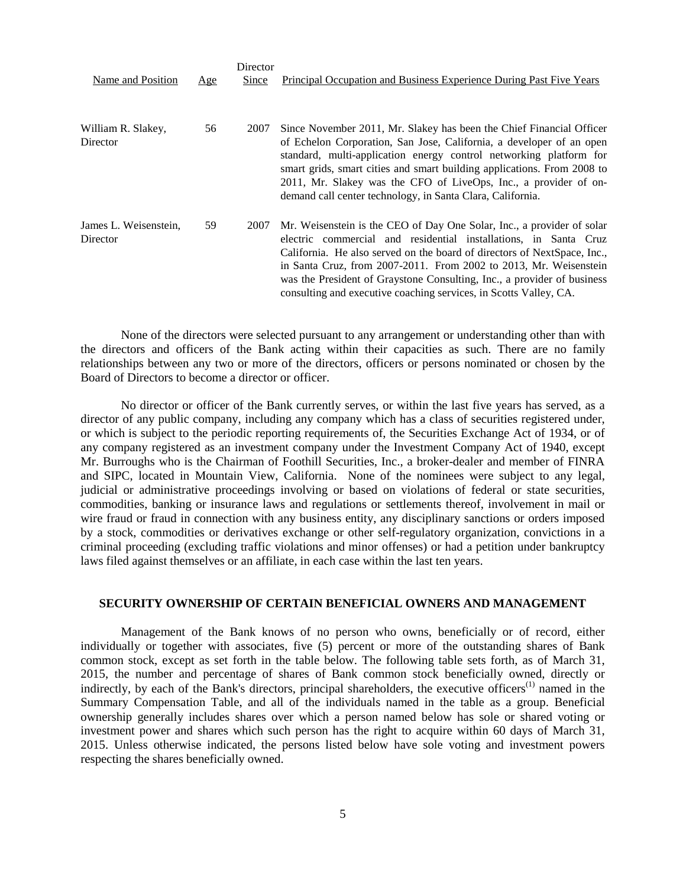|                                   |     | Director |                                                                                                                                                                                                                                                                                                                                                                                                                                             |
|-----------------------------------|-----|----------|---------------------------------------------------------------------------------------------------------------------------------------------------------------------------------------------------------------------------------------------------------------------------------------------------------------------------------------------------------------------------------------------------------------------------------------------|
| Name and Position                 | Age | Since    | <b>Principal Occupation and Business Experience During Past Five Years</b>                                                                                                                                                                                                                                                                                                                                                                  |
| William R. Slakey,<br>Director    | 56  | 2007     | Since November 2011, Mr. Slakey has been the Chief Financial Officer<br>of Echelon Corporation, San Jose, California, a developer of an open<br>standard, multi-application energy control networking platform for<br>smart grids, smart cities and smart building applications. From 2008 to<br>2011, Mr. Slakey was the CFO of LiveOps, Inc., a provider of on-<br>demand call center technology, in Santa Clara, California.             |
| James L. Weisenstein,<br>Director | 59  | 2007     | Mr. Weisenstein is the CEO of Day One Solar, Inc., a provider of solar<br>electric commercial and residential installations, in Santa Cruz<br>California. He also served on the board of directors of NextSpace, Inc.,<br>in Santa Cruz, from 2007-2011. From 2002 to 2013, Mr. Weisenstein<br>was the President of Graystone Consulting, Inc., a provider of business<br>consulting and executive coaching services, in Scotts Valley, CA. |

None of the directors were selected pursuant to any arrangement or understanding other than with the directors and officers of the Bank acting within their capacities as such. There are no family relationships between any two or more of the directors, officers or persons nominated or chosen by the Board of Directors to become a director or officer.

No director or officer of the Bank currently serves, or within the last five years has served, as a director of any public company, including any company which has a class of securities registered under, or which is subject to the periodic reporting requirements of, the Securities Exchange Act of 1934, or of any company registered as an investment company under the Investment Company Act of 1940, except Mr. Burroughs who is the Chairman of Foothill Securities, Inc., a broker-dealer and member of FINRA and SIPC, located in Mountain View, California. None of the nominees were subject to any legal, judicial or administrative proceedings involving or based on violations of federal or state securities, commodities, banking or insurance laws and regulations or settlements thereof, involvement in mail or wire fraud or fraud in connection with any business entity, any disciplinary sanctions or orders imposed by a stock, commodities or derivatives exchange or other self-regulatory organization, convictions in a criminal proceeding (excluding traffic violations and minor offenses) or had a petition under bankruptcy laws filed against themselves or an affiliate, in each case within the last ten years.

#### **SECURITY OWNERSHIP OF CERTAIN BENEFICIAL OWNERS AND MANAGEMENT**

Management of the Bank knows of no person who owns, beneficially or of record, either individually or together with associates, five (5) percent or more of the outstanding shares of Bank common stock, except as set forth in the table below. The following table sets forth, as of March 31, 2015, the number and percentage of shares of Bank common stock beneficially owned, directly or indirectly, by each of the Bank's directors, principal shareholders, the executive officers<sup>(1)</sup> named in the Summary Compensation Table, and all of the individuals named in the table as a group. Beneficial ownership generally includes shares over which a person named below has sole or shared voting or investment power and shares which such person has the right to acquire within 60 days of March 31, 2015. Unless otherwise indicated, the persons listed below have sole voting and investment powers respecting the shares beneficially owned.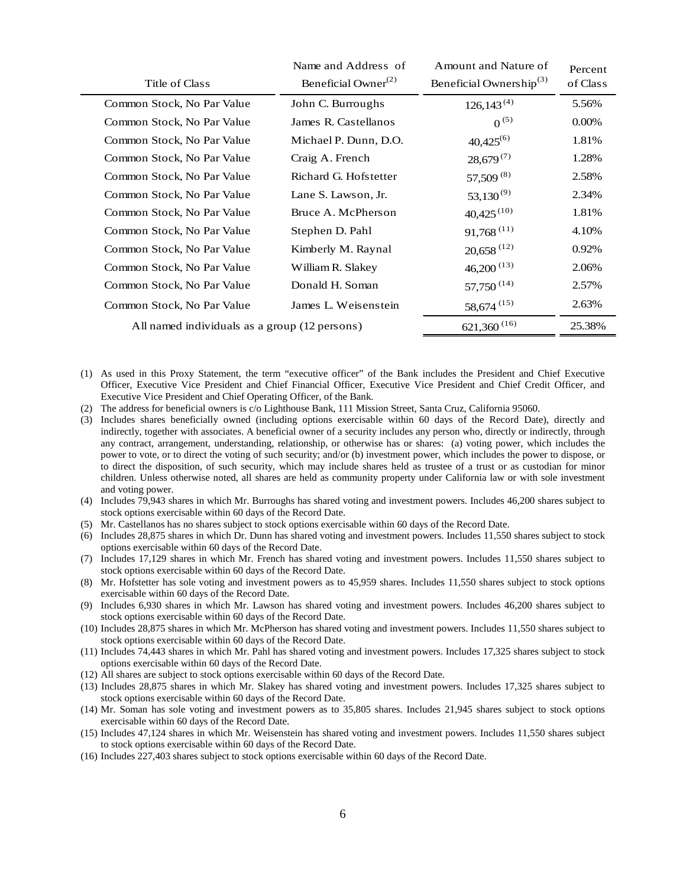|                                               | Name and Address of<br>Beneficial Owner <sup>(2)</sup><br>Title of Class |                       | Amount and Nature of<br>Beneficial Ownership <sup>(3)</sup> | Percent<br>of Class |
|-----------------------------------------------|--------------------------------------------------------------------------|-----------------------|-------------------------------------------------------------|---------------------|
|                                               | Common Stock, No Par Value                                               | John C. Burroughs     | $126, 143^{(4)}$                                            | 5.56%               |
|                                               | Common Stock, No Par Value                                               | James R. Castellanos  | $0^{(5)}$                                                   | 0.00%               |
|                                               | Common Stock, No Par Value                                               | Michael P. Dunn, D.O. | $40,425^{(6)}$                                              | 1.81%               |
|                                               | Common Stock, No Par Value                                               | Craig A. French       | $28,679^{(7)}$                                              | 1.28%               |
|                                               | Common Stock, No Par Value                                               | Richard G. Hofstetter | 57,509 (8)                                                  | 2.58%               |
|                                               | Common Stock, No Par Value                                               | Lane S. Lawson, Jr.   | $53,130^{(9)}$                                              | 2.34%               |
|                                               | Common Stock, No Par Value                                               | Bruce A. McPherson    | $40,425^{(10)}$                                             | 1.81%               |
|                                               | Common Stock, No Par Value                                               | Stephen D. Pahl       | $91,768$ <sup>(11)</sup>                                    | 4.10%               |
|                                               | Common Stock, No Par Value                                               | Kimberly M. Raynal    | $20,658$ <sup>(12)</sup>                                    | 0.92%               |
|                                               | Common Stock, No Par Value                                               | William R. Slakey     | $46,200^{(13)}$                                             | 2.06%               |
|                                               | Common Stock, No Par Value                                               | Donald H. Soman       | $57,750^{(14)}$                                             | 2.57%               |
|                                               | Common Stock, No Par Value                                               | James L. Weisenstein  | $58,674$ <sup>(15)</sup>                                    | 2.63%               |
| All named individuals as a group (12 persons) |                                                                          |                       | $621,360$ <sup>(16)</sup>                                   | 25.38%              |
|                                               |                                                                          |                       |                                                             |                     |

- (1) As used in this Proxy Statement, the term "executive officer" of the Bank includes the President and Chief Executive Officer, Executive Vice President and Chief Financial Officer, Executive Vice President and Chief Credit Officer, and Executive Vice President and Chief Operating Officer, of the Bank.
- (2) The address for beneficial owners is c/o Lighthouse Bank, 111 Mission Street, Santa Cruz, California 95060.
- (3) Includes shares beneficially owned (including options exercisable within 60 days of the Record Date), directly and indirectly, together with associates. A beneficial owner of a security includes any person who, directly or indirectly, through any contract, arrangement, understanding, relationship, or otherwise has or shares: (a) voting power, which includes the power to vote, or to direct the voting of such security; and/or (b) investment power, which includes the power to dispose, or to direct the disposition, of such security, which may include shares held as trustee of a trust or as custodian for minor children. Unless otherwise noted, all shares are held as community property under California law or with sole investment and voting power.
- (4) Includes 79,943 shares in which Mr. Burroughs has shared voting and investment powers. Includes 46,200 shares subject to stock options exercisable within 60 days of the Record Date.
- (5) Mr. Castellanos has no shares subject to stock options exercisable within 60 days of the Record Date.
- (6) Includes 28,875 shares in which Dr. Dunn has shared voting and investment powers. Includes 11,550 shares subject to stock options exercisable within 60 days of the Record Date.
- (7) Includes 17,129 shares in which Mr. French has shared voting and investment powers. Includes 11,550 shares subject to stock options exercisable within 60 days of the Record Date.
- (8) Mr. Hofstetter has sole voting and investment powers as to 45,959 shares. Includes 11,550 shares subject to stock options exercisable within 60 days of the Record Date.
- (9) Includes 6,930 shares in which Mr. Lawson has shared voting and investment powers. Includes 46,200 shares subject to stock options exercisable within 60 days of the Record Date.
- (10) Includes 28,875 shares in which Mr. McPherson has shared voting and investment powers. Includes 11,550 shares subject to stock options exercisable within 60 days of the Record Date.
- (11) Includes 74,443 shares in which Mr. Pahl has shared voting and investment powers. Includes 17,325 shares subject to stock options exercisable within 60 days of the Record Date.
- (12) All shares are subject to stock options exercisable within 60 days of the Record Date.
- (13) Includes 28,875 shares in which Mr. Slakey has shared voting and investment powers. Includes 17,325 shares subject to stock options exercisable within 60 days of the Record Date.
- (14) Mr. Soman has sole voting and investment powers as to 35,805 shares. Includes 21,945 shares subject to stock options exercisable within 60 days of the Record Date.
- (15) Includes 47,124 shares in which Mr. Weisenstein has shared voting and investment powers. Includes 11,550 shares subject to stock options exercisable within 60 days of the Record Date.
- (16) Includes 227,403 shares subject to stock options exercisable within 60 days of the Record Date.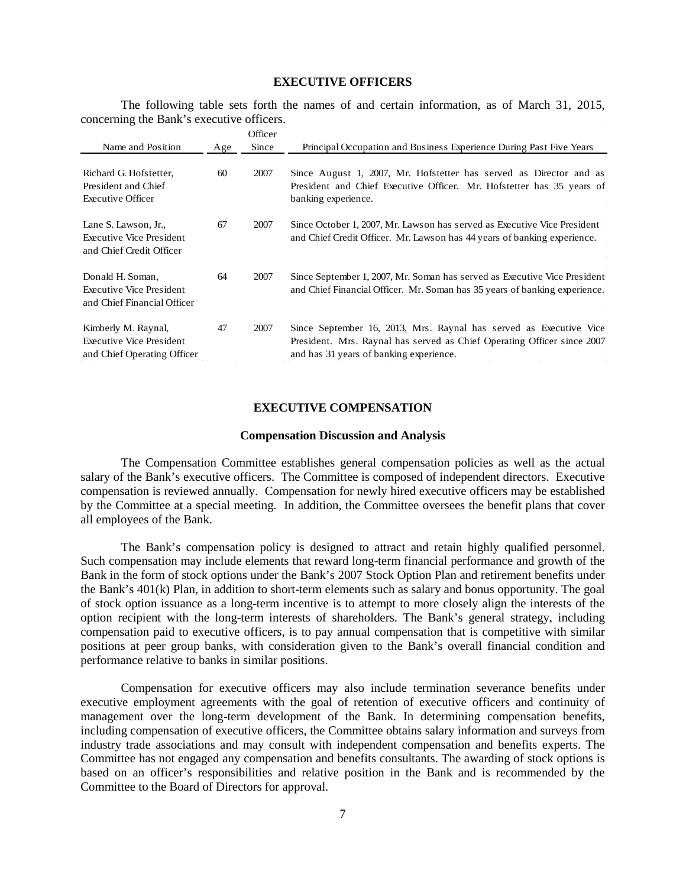## **EXECUTIVE OFFICERS**

The following table sets forth the names of and certain information, as of March 31, 2015, concerning the Bank's executive officers.

|                                                                                    |     | Officer |                                                                                                                                                                                          |
|------------------------------------------------------------------------------------|-----|---------|------------------------------------------------------------------------------------------------------------------------------------------------------------------------------------------|
| Name and Position                                                                  | Age | Since   | Principal Occupation and Business Experience During Past Five Years                                                                                                                      |
| Richard G. Hofstetter,<br>President and Chief<br><b>Executive Officer</b>          | 60  | 2007    | Since August 1, 2007, Mr. Hofstetter has served as Director and as<br>President and Chief Executive Officer. Mr. Hofstetter has 35 years of<br>banking experience.                       |
| Lane S. Lawson, Jr.,<br>Executive Vice President<br>and Chief Credit Officer       | 67  | 2007    | Since October 1, 2007, Mr. Lawson has served as Executive Vice President<br>and Chief Credit Officer. Mr. Lawson has 44 years of banking experience.                                     |
| Donald H. Soman,<br><b>Executive Vice President</b><br>and Chief Financial Officer | 64  | 2007    | Since September 1, 2007, Mr. Soman has served as Executive Vice President<br>and Chief Financial Officer. Mr. Soman has 35 years of banking experience.                                  |
| Kimberly M. Raynal,<br>Executive Vice President<br>and Chief Operating Officer     | 47  | 2007    | Since September 16, 2013, Mrs. Raynal has served as Executive Vice<br>President. Mrs. Raynal has served as Chief Operating Officer since 2007<br>and has 31 years of banking experience. |

## **EXECUTIVE COMPENSATION**

#### **Compensation Discussion and Analysis**

The Compensation Committee establishes general compensation policies as well as the actual salary of the Bank's executive officers. The Committee is composed of independent directors. Executive compensation is reviewed annually. Compensation for newly hired executive officers may be established by the Committee at a special meeting. In addition, the Committee oversees the benefit plans that cover all employees of the Bank.

The Bank's compensation policy is designed to attract and retain highly qualified personnel. Such compensation may include elements that reward long-term financial performance and growth of the Bank in the form of stock options under the Bank's 2007 Stock Option Plan and retirement benefits under the Bank's 401(k) Plan, in addition to short-term elements such as salary and bonus opportunity. The goal of stock option issuance as a long-term incentive is to attempt to more closely align the interests of the option recipient with the long-term interests of shareholders. The Bank's general strategy, including compensation paid to executive officers, is to pay annual compensation that is competitive with similar positions at peer group banks, with consideration given to the Bank's overall financial condition and performance relative to banks in similar positions.

Compensation for executive officers may also include termination severance benefits under executive employment agreements with the goal of retention of executive officers and continuity of management over the long-term development of the Bank. In determining compensation benefits, including compensation of executive officers, the Committee obtains salary information and surveys from industry trade associations and may consult with independent compensation and benefits experts. The Committee has not engaged any compensation and benefits consultants. The awarding of stock options is based on an officer's responsibilities and relative position in the Bank and is recommended by the Committee to the Board of Directors for approval.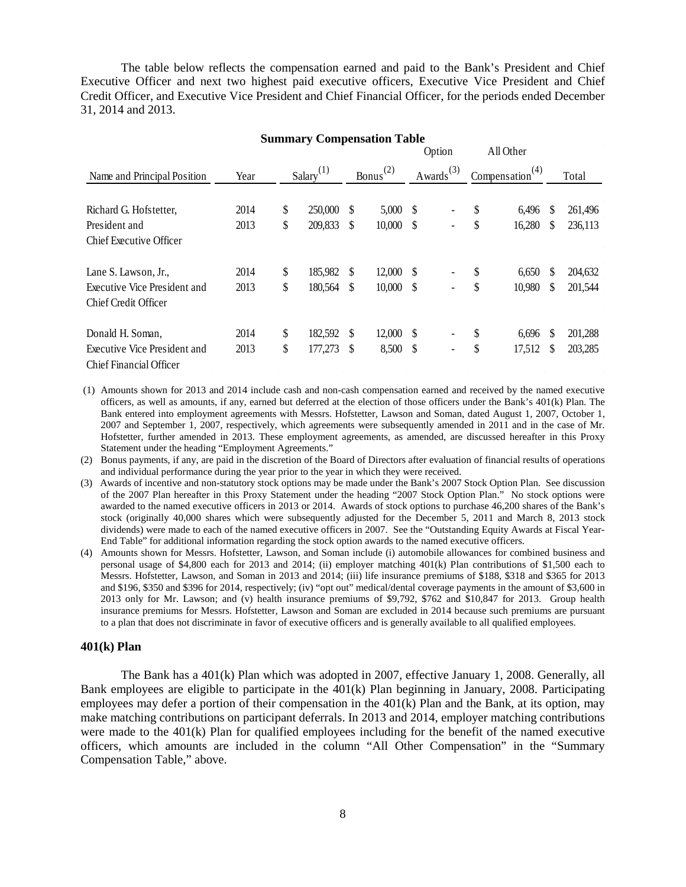The table below reflects the compensation earned and paid to the Bank's President and Chief Executive Officer and next two highest paid executive officers, Executive Vice President and Chief Credit Officer, and Executive Vice President and Chief Financial Officer, for the periods ended December 31, 2014 and 2013.

| <b>Summary Compensation Table</b>                       |      |    |                          |    |               |      |                          |                             |    |         |
|---------------------------------------------------------|------|----|--------------------------|----|---------------|------|--------------------------|-----------------------------|----|---------|
|                                                         |      |    |                          |    |               |      | Option                   | All Other                   |    |         |
| Name and Principal Position                             | Year |    | $S$ alary <sup>(1)</sup> |    | $Bonus^{(2)}$ |      | Awards <sup>(3)</sup>    | Compensation <sup>(4)</sup> |    | Total   |
| Richard G. Hofstetter,                                  | 2014 | \$ | 250,000                  | \$ | 5,000         | -S   |                          | \$<br>6,496                 | S  | 261,496 |
| President and                                           | 2013 | \$ | 209,833                  | \$ | 10,000        | -S   |                          | \$<br>16,280                | \$ | 236,113 |
| <b>Chief Executive Officer</b>                          |      |    |                          |    |               |      |                          |                             |    |         |
| Lane S. Lawson, Jr.,                                    | 2014 | \$ | 185,982                  | \$ | 12,000        | - \$ |                          | \$<br>6,650                 | S  | 204,632 |
| Executive Vice President and                            | 2013 | \$ | 180,564                  | \$ | 10,000        | -S   | -                        | \$<br>10,980                | \$ | 201,544 |
| Chief Credit Officer                                    |      |    |                          |    |               |      |                          |                             |    |         |
| Donald H. Soman,                                        | 2014 | \$ | 182,592                  | \$ | 12,000        | -S   |                          | \$<br>6,696                 | S  | 201,288 |
| Executive Vice President and<br>Chief Financial Officer | 2013 | \$ | 177,273                  | \$ | 8,500         | \$   | $\overline{\phantom{a}}$ | \$<br>17,512                | S  | 203,285 |

(1) Amounts shown for 2013 and 2014 include cash and non-cash compensation earned and received by the named executive officers, as well as amounts, if any, earned but deferred at the election of those officers under the Bank's 401(k) Plan. The Bank entered into employment agreements with Messrs. Hofstetter, Lawson and Soman, dated August 1, 2007, October 1, 2007 and September 1, 2007, respectively, which agreements were subsequently amended in 2011 and in the case of Mr. Hofstetter, further amended in 2013. These employment agreements, as amended, are discussed hereafter in this Proxy Statement under the heading "Employment Agreements."

(2) Bonus payments, if any, are paid in the discretion of the Board of Directors after evaluation of financial results of operations and individual performance during the year prior to the year in which they were received.

- (3) Awards of incentive and non-statutory stock options may be made under the Bank's 2007 Stock Option Plan. See discussion of the 2007 Plan hereafter in this Proxy Statement under the heading "2007 Stock Option Plan." No stock options were awarded to the named executive officers in 2013 or 2014. Awards of stock options to purchase 46,200 shares of the Bank's stock (originally 40,000 shares which were subsequently adjusted for the December 5, 2011 and March 8, 2013 stock dividends) were made to each of the named executive officers in 2007. See the "Outstanding Equity Awards at Fiscal Year-End Table" for additional information regarding the stock option awards to the named executive officers.
- (4) Amounts shown for Messrs. Hofstetter, Lawson, and Soman include (i) automobile allowances for combined business and personal usage of \$4,800 each for 2013 and 2014; (ii) employer matching 401(k) Plan contributions of \$1,500 each to Messrs. Hofstetter, Lawson, and Soman in 2013 and 2014; (iii) life insurance premiums of \$188, \$318 and \$365 for 2013 and \$196, \$350 and \$396 for 2014, respectively; (iv) "opt out" medical/dental coverage payments in the amount of \$3,600 in 2013 only for Mr. Lawson; and (v) health insurance premiums of \$9,792, \$762 and \$10,847 for 2013. Group health insurance premiums for Messrs. Hofstetter, Lawson and Soman are excluded in 2014 because such premiums are pursuant to a plan that does not discriminate in favor of executive officers and is generally available to all qualified employees.

### **401(k) Plan**

The Bank has a 401(k) Plan which was adopted in 2007, effective January 1, 2008. Generally, all Bank employees are eligible to participate in the 401(k) Plan beginning in January, 2008. Participating employees may defer a portion of their compensation in the 401(k) Plan and the Bank, at its option, may make matching contributions on participant deferrals. In 2013 and 2014, employer matching contributions were made to the 401(k) Plan for qualified employees including for the benefit of the named executive officers, which amounts are included in the column "All Other Compensation" in the "Summary Compensation Table," above.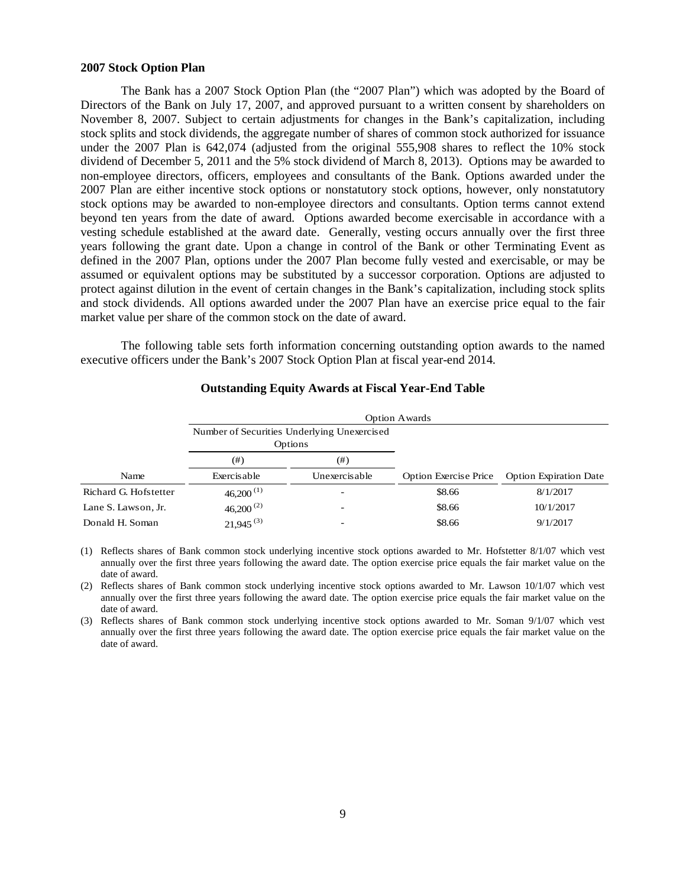#### **2007 Stock Option Plan**

The Bank has a 2007 Stock Option Plan (the "2007 Plan") which was adopted by the Board of Directors of the Bank on July 17, 2007, and approved pursuant to a written consent by shareholders on November 8, 2007. Subject to certain adjustments for changes in the Bank's capitalization, including stock splits and stock dividends, the aggregate number of shares of common stock authorized for issuance under the 2007 Plan is 642,074 (adjusted from the original 555,908 shares to reflect the 10% stock dividend of December 5, 2011 and the 5% stock dividend of March 8, 2013). Options may be awarded to non-employee directors, officers, employees and consultants of the Bank. Options awarded under the 2007 Plan are either incentive stock options or nonstatutory stock options, however, only nonstatutory stock options may be awarded to non-employee directors and consultants. Option terms cannot extend beyond ten years from the date of award. Options awarded become exercisable in accordance with a vesting schedule established at the award date. Generally, vesting occurs annually over the first three years following the grant date. Upon a change in control of the Bank or other Terminating Event as defined in the 2007 Plan, options under the 2007 Plan become fully vested and exercisable, or may be assumed or equivalent options may be substituted by a successor corporation. Options are adjusted to protect against dilution in the event of certain changes in the Bank's capitalization, including stock splits and stock dividends. All options awarded under the 2007 Plan have an exercise price equal to the fair market value per share of the common stock on the date of award.

The following table sets forth information concerning outstanding option awards to the named executive officers under the Bank's 2007 Stock Option Plan at fiscal year-end 2014.

|                       | <b>Option Awards</b>    |                                                        |                              |                               |  |  |  |  |  |
|-----------------------|-------------------------|--------------------------------------------------------|------------------------------|-------------------------------|--|--|--|--|--|
|                       |                         | Number of Securities Underlying Unexercised<br>Options |                              |                               |  |  |  |  |  |
|                       | (# )                    | (#)                                                    |                              |                               |  |  |  |  |  |
| Name                  | Exercisable             | Unexercisable                                          | <b>Option Exercise Price</b> | <b>Option Expiration Date</b> |  |  |  |  |  |
| Richard G. Hofstetter | $46,200$ <sup>(1)</sup> |                                                        | \$8.66                       | 8/1/2017                      |  |  |  |  |  |
| Lane S. Lawson, Jr.   | $46,200^{(2)}$          | -                                                      | \$8.66                       | 10/1/2017                     |  |  |  |  |  |
| Donald H. Soman       | $21,945^{(3)}$          |                                                        | \$8.66                       | 9/1/2017                      |  |  |  |  |  |

# **Outstanding Equity Awards at Fiscal Year-End Table**

(1) Reflects shares of Bank common stock underlying incentive stock options awarded to Mr. Hofstetter 8/1/07 which vest annually over the first three years following the award date. The option exercise price equals the fair market value on the date of award.

(2) Reflects shares of Bank common stock underlying incentive stock options awarded to Mr. Lawson 10/1/07 which vest annually over the first three years following the award date. The option exercise price equals the fair market value on the date of award.

(3) Reflects shares of Bank common stock underlying incentive stock options awarded to Mr. Soman 9/1/07 which vest annually over the first three years following the award date. The option exercise price equals the fair market value on the date of award.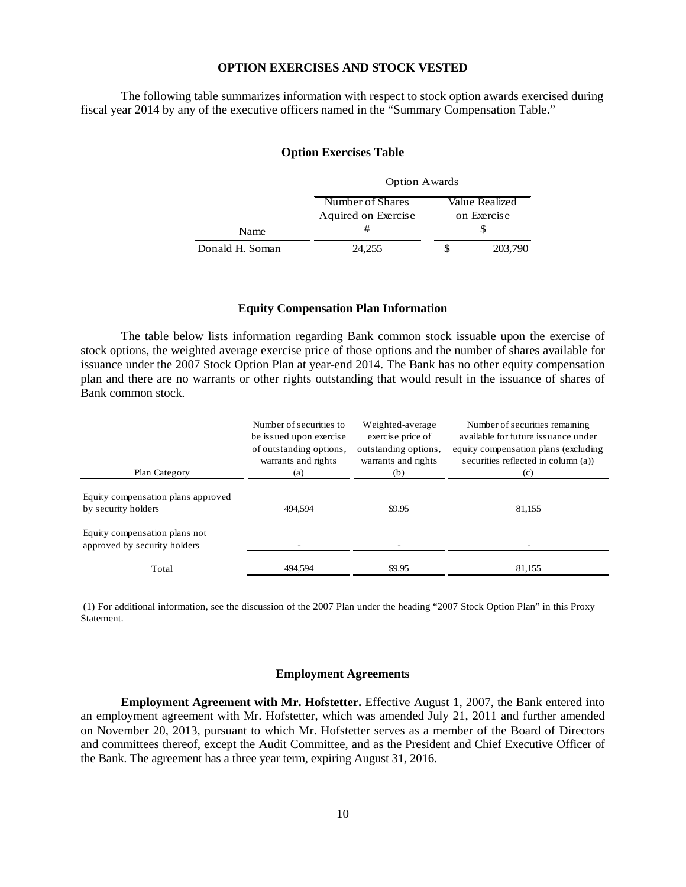## **OPTION EXERCISES AND STOCK VESTED**

The following table summarizes information with respect to stock option awards exercised during fiscal year 2014 by any of the executive officers named in the "Summary Compensation Table."

## **Option Exercises Table**

|                 | <b>Option Awards</b> |             |                |  |  |
|-----------------|----------------------|-------------|----------------|--|--|
|                 | Number of Shares     |             | Value Realized |  |  |
|                 | Aquired on Exercise  | on Exercise |                |  |  |
| <b>Name</b>     | #                    |             |                |  |  |
| Donald H. Soman | 24.255               |             | 203,790        |  |  |

# **Equity Compensation Plan Information**

The table below lists information regarding Bank common stock issuable upon the exercise of stock options, the weighted average exercise price of those options and the number of shares available for issuance under the 2007 Stock Option Plan at year-end 2014. The Bank has no other equity compensation plan and there are no warrants or other rights outstanding that would result in the issuance of shares of Bank common stock.

| Plan Category                                                 | Number of securities to<br>be issued upon exercise<br>of outstanding options,<br>warrants and rights<br>(a) | Weighted-average<br>exercise price of<br>outstanding options,<br>warrants and rights<br>(b) | Number of securities remaining<br>available for future is suance under<br>equity compensation plans (excluding<br>securities reflected in column (a))<br>(c) |
|---------------------------------------------------------------|-------------------------------------------------------------------------------------------------------------|---------------------------------------------------------------------------------------------|--------------------------------------------------------------------------------------------------------------------------------------------------------------|
| Equity compensation plans approved<br>by security holders     | 494.594                                                                                                     | \$9.95                                                                                      | 81,155                                                                                                                                                       |
| Equity compensation plans not<br>approved by security holders |                                                                                                             |                                                                                             |                                                                                                                                                              |
| Total                                                         | 494,594                                                                                                     | \$9.95                                                                                      | 81,155                                                                                                                                                       |

(1) For additional information, see the discussion of the 2007 Plan under the heading "2007 Stock Option Plan" in this Proxy Statement.

#### **Employment Agreements**

**Employment Agreement with Mr. Hofstetter.** Effective August 1, 2007, the Bank entered into an employment agreement with Mr. Hofstetter, which was amended July 21, 2011 and further amended on November 20, 2013, pursuant to which Mr. Hofstetter serves as a member of the Board of Directors and committees thereof, except the Audit Committee, and as the President and Chief Executive Officer of the Bank. The agreement has a three year term, expiring August 31, 2016.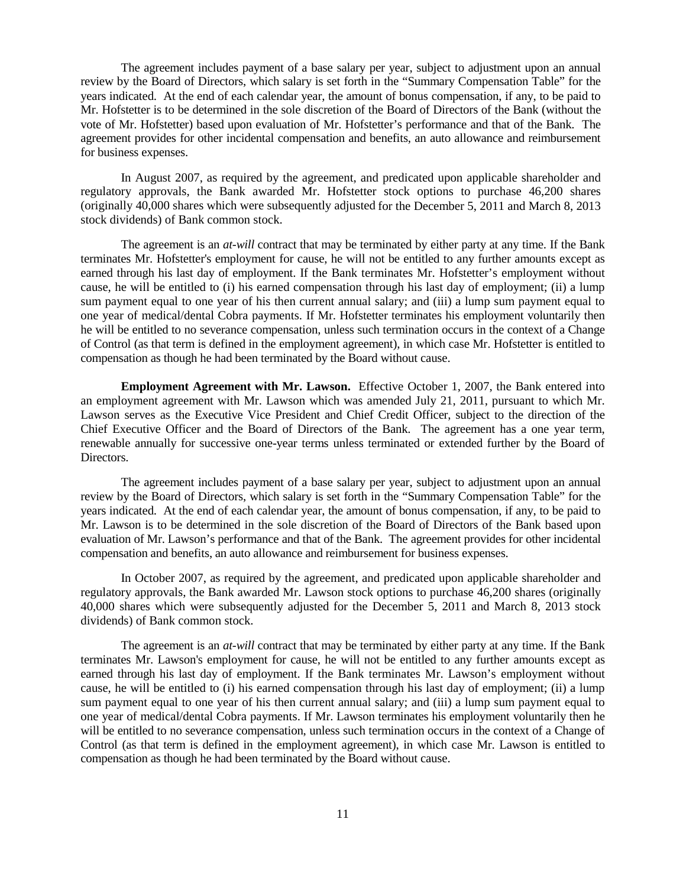The agreement includes payment of a base salary per year, subject to adjustment upon an annual review by the Board of Directors, which salary is set forth in the "Summary Compensation Table" for the years indicated. At the end of each calendar year, the amount of bonus compensation, if any, to be paid to Mr. Hofstetter is to be determined in the sole discretion of the Board of Directors of the Bank (without the vote of Mr. Hofstetter) based upon evaluation of Mr. Hofstetter's performance and that of the Bank. The agreement provides for other incidental compensation and benefits, an auto allowance and reimbursement for business expenses.

In August 2007, as required by the agreement, and predicated upon applicable shareholder and regulatory approvals, the Bank awarded Mr. Hofstetter stock options to purchase 46,200 shares (originally 40,000 shares which were subsequently adjusted for the December 5, 2011 and March 8, 2013 stock dividends) of Bank common stock.

The agreement is an *at-will* contract that may be terminated by either party at any time. If the Bank terminates Mr. Hofstetter's employment for cause, he will not be entitled to any further amounts except as earned through his last day of employment. If the Bank terminates Mr. Hofstetter's employment without cause, he will be entitled to (i) his earned compensation through his last day of employment; (ii) a lump sum payment equal to one year of his then current annual salary; and (iii) a lump sum payment equal to one year of medical/dental Cobra payments. If Mr. Hofstetter terminates his employment voluntarily then he will be entitled to no severance compensation, unless such termination occurs in the context of a Change of Control (as that term is defined in the employment agreement), in which case Mr. Hofstetter is entitled to compensation as though he had been terminated by the Board without cause.

**Employment Agreement with Mr. Lawson.** Effective October 1, 2007, the Bank entered into an employment agreement with Mr. Lawson which was amended July 21, 2011, pursuant to which Mr. Lawson serves as the Executive Vice President and Chief Credit Officer, subject to the direction of the Chief Executive Officer and the Board of Directors of the Bank. The agreement has a one year term, renewable annually for successive one-year terms unless terminated or extended further by the Board of Directors.

The agreement includes payment of a base salary per year, subject to adjustment upon an annual review by the Board of Directors, which salary is set forth in the "Summary Compensation Table" for the years indicated. At the end of each calendar year, the amount of bonus compensation, if any, to be paid to Mr. Lawson is to be determined in the sole discretion of the Board of Directors of the Bank based upon evaluation of Mr. Lawson's performance and that of the Bank. The agreement provides for other incidental compensation and benefits, an auto allowance and reimbursement for business expenses.

In October 2007, as required by the agreement, and predicated upon applicable shareholder and regulatory approvals, the Bank awarded Mr. Lawson stock options to purchase 46,200 shares (originally 40,000 shares which were subsequently adjusted for the December 5, 2011 and March 8, 2013 stock dividends) of Bank common stock.

The agreement is an *at-will* contract that may be terminated by either party at any time. If the Bank terminates Mr. Lawson's employment for cause, he will not be entitled to any further amounts except as earned through his last day of employment. If the Bank terminates Mr. Lawson's employment without cause, he will be entitled to (i) his earned compensation through his last day of employment; (ii) a lump sum payment equal to one year of his then current annual salary; and (iii) a lump sum payment equal to one year of medical/dental Cobra payments. If Mr. Lawson terminates his employment voluntarily then he will be entitled to no severance compensation, unless such termination occurs in the context of a Change of Control (as that term is defined in the employment agreement), in which case Mr. Lawson is entitled to compensation as though he had been terminated by the Board without cause.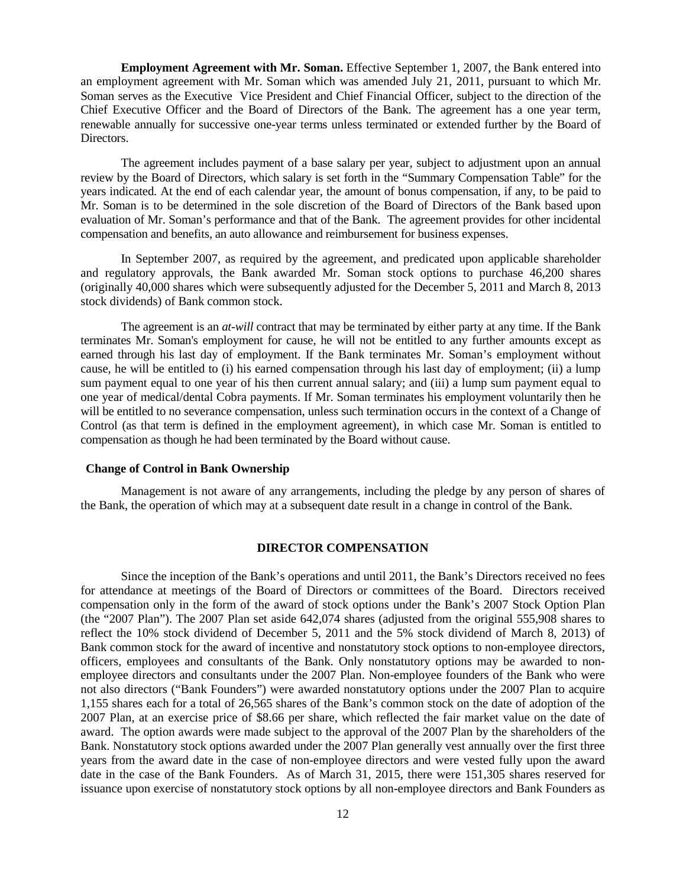**Employment Agreement with Mr. Soman.** Effective September 1, 2007, the Bank entered into an employment agreement with Mr. Soman which was amended July 21, 2011, pursuant to which Mr. Soman serves as the Executive Vice President and Chief Financial Officer, subject to the direction of the Chief Executive Officer and the Board of Directors of the Bank. The agreement has a one year term, renewable annually for successive one-year terms unless terminated or extended further by the Board of Directors.

The agreement includes payment of a base salary per year, subject to adjustment upon an annual review by the Board of Directors, which salary is set forth in the "Summary Compensation Table" for the years indicated. At the end of each calendar year, the amount of bonus compensation, if any, to be paid to Mr. Soman is to be determined in the sole discretion of the Board of Directors of the Bank based upon evaluation of Mr. Soman's performance and that of the Bank. The agreement provides for other incidental compensation and benefits, an auto allowance and reimbursement for business expenses.

In September 2007, as required by the agreement, and predicated upon applicable shareholder and regulatory approvals, the Bank awarded Mr. Soman stock options to purchase 46,200 shares (originally 40,000 shares which were subsequently adjusted for the December 5, 2011 and March 8, 2013 stock dividends) of Bank common stock.

The agreement is an *at-will* contract that may be terminated by either party at any time. If the Bank terminates Mr. Soman's employment for cause, he will not be entitled to any further amounts except as earned through his last day of employment. If the Bank terminates Mr. Soman's employment without cause, he will be entitled to (i) his earned compensation through his last day of employment; (ii) a lump sum payment equal to one year of his then current annual salary; and (iii) a lump sum payment equal to one year of medical/dental Cobra payments. If Mr. Soman terminates his employment voluntarily then he will be entitled to no severance compensation, unless such termination occurs in the context of a Change of Control (as that term is defined in the employment agreement), in which case Mr. Soman is entitled to compensation as though he had been terminated by the Board without cause.

# **Change of Control in Bank Ownership**

Management is not aware of any arrangements, including the pledge by any person of shares of the Bank, the operation of which may at a subsequent date result in a change in control of the Bank.

# **DIRECTOR COMPENSATION**

Since the inception of the Bank's operations and until 2011, the Bank's Directors received no fees for attendance at meetings of the Board of Directors or committees of the Board. Directors received compensation only in the form of the award of stock options under the Bank's 2007 Stock Option Plan (the "2007 Plan"). The 2007 Plan set aside 642,074 shares (adjusted from the original 555,908 shares to reflect the 10% stock dividend of December 5, 2011 and the 5% stock dividend of March 8, 2013) of Bank common stock for the award of incentive and nonstatutory stock options to non-employee directors, officers, employees and consultants of the Bank. Only nonstatutory options may be awarded to nonemployee directors and consultants under the 2007 Plan. Non-employee founders of the Bank who were not also directors ("Bank Founders") were awarded nonstatutory options under the 2007 Plan to acquire 1,155 shares each for a total of 26,565 shares of the Bank's common stock on the date of adoption of the 2007 Plan, at an exercise price of \$8.66 per share, which reflected the fair market value on the date of award. The option awards were made subject to the approval of the 2007 Plan by the shareholders of the Bank. Nonstatutory stock options awarded under the 2007 Plan generally vest annually over the first three years from the award date in the case of non-employee directors and were vested fully upon the award date in the case of the Bank Founders. As of March 31, 2015, there were 151,305 shares reserved for issuance upon exercise of nonstatutory stock options by all non-employee directors and Bank Founders as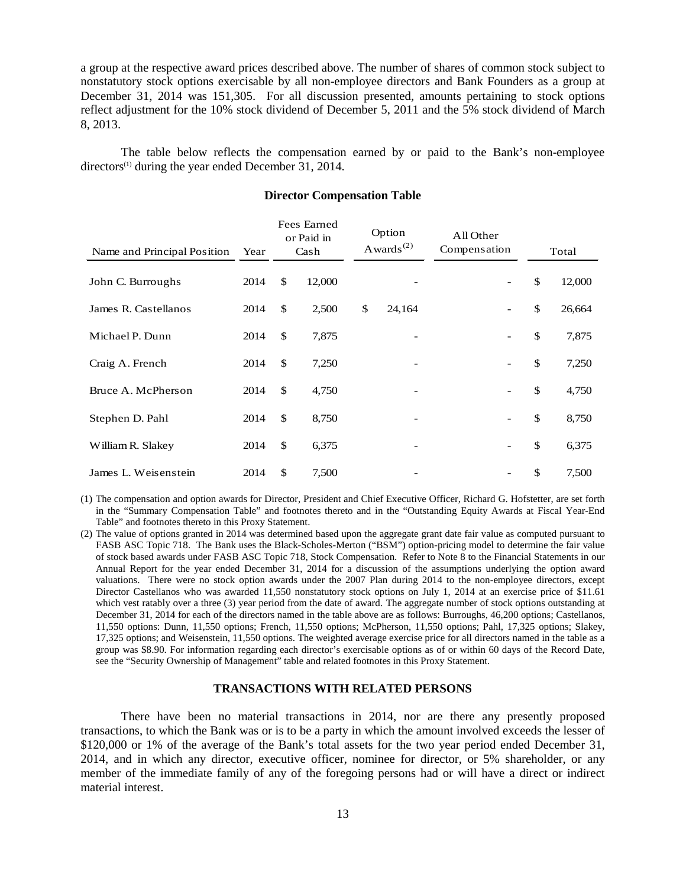a group at the respective award prices described above. The number of shares of common stock subject to nonstatutory stock options exercisable by all non-employee directors and Bank Founders as a group at December 31, 2014 was 151,305. For all discussion presented, amounts pertaining to stock options reflect adjustment for the 10% stock dividend of December 5, 2011 and the 5% stock dividend of March 8, 2013.

The table below reflects the compensation earned by or paid to the Bank's non-employee directors<sup>(1)</sup> during the year ended December 31, 2014.

| Name and Principal Position | Year |               | Fees Earned<br>or Paid in<br>Cash | Option<br>Awards <sup><math>(2)</math></sup> | All Other<br>Compensation | Total        |
|-----------------------------|------|---------------|-----------------------------------|----------------------------------------------|---------------------------|--------------|
| John C. Burroughs           | 2014 | \$            | 12,000                            |                                              |                           | \$<br>12,000 |
| James R. Castellanos        | 2014 | \$            | 2,500                             | \$<br>24,164                                 |                           | \$<br>26,664 |
| Michael P. Dunn             | 2014 | \$            | 7,875                             |                                              |                           | \$<br>7,875  |
| Craig A. French             | 2014 | $\mathcal{S}$ | 7,250                             |                                              |                           | \$<br>7,250  |
| Bruce A. McPherson          | 2014 | \$            | 4,750                             |                                              |                           | \$<br>4,750  |
| Stephen D. Pahl             | 2014 | $\mathbb{S}$  | 8,750                             | -                                            |                           | \$<br>8,750  |
| William R. Slakey           | 2014 | $\mathcal{S}$ | 6,375                             |                                              | $\overline{\phantom{a}}$  | \$<br>6,375  |
| James L. Weisenstein        | 2014 | \$            | 7,500                             |                                              |                           | \$<br>7,500  |

## **Director Compensation Table**

(1) The compensation and option awards for Director, President and Chief Executive Officer, Richard G. Hofstetter, are set forth in the "Summary Compensation Table" and footnotes thereto and in the "Outstanding Equity Awards at Fiscal Year-End Table" and footnotes thereto in this Proxy Statement.

(2) The value of options granted in 2014 was determined based upon the aggregate grant date fair value as computed pursuant to FASB ASC Topic 718. The Bank uses the Black-Scholes-Merton ("BSM") option-pricing model to determine the fair value of stock based awards under FASB ASC Topic 718, Stock Compensation. Refer to Note 8 to the Financial Statements in our Annual Report for the year ended December 31, 2014 for a discussion of the assumptions underlying the option award valuations. There were no stock option awards under the 2007 Plan during 2014 to the non-employee directors, except Director Castellanos who was awarded 11,550 nonstatutory stock options on July 1, 2014 at an exercise price of \$11.61 which vest ratably over a three (3) year period from the date of award. The aggregate number of stock options outstanding at December 31, 2014 for each of the directors named in the table above are as follows: Burroughs, 46,200 options; Castellanos, 11,550 options: Dunn, 11,550 options; French, 11,550 options; McPherson, 11,550 options; Pahl, 17,325 options; Slakey, 17,325 options; and Weisenstein, 11,550 options. The weighted average exercise price for all directors named in the table as a group was \$8.90. For information regarding each director's exercisable options as of or within 60 days of the Record Date, see the "Security Ownership of Management" table and related footnotes in this Proxy Statement.

## **TRANSACTIONS WITH RELATED PERSONS**

There have been no material transactions in 2014, nor are there any presently proposed transactions, to which the Bank was or is to be a party in which the amount involved exceeds the lesser of \$120,000 or 1% of the average of the Bank's total assets for the two year period ended December 31, 2014, and in which any director, executive officer, nominee for director, or 5% shareholder, or any member of the immediate family of any of the foregoing persons had or will have a direct or indirect material interest.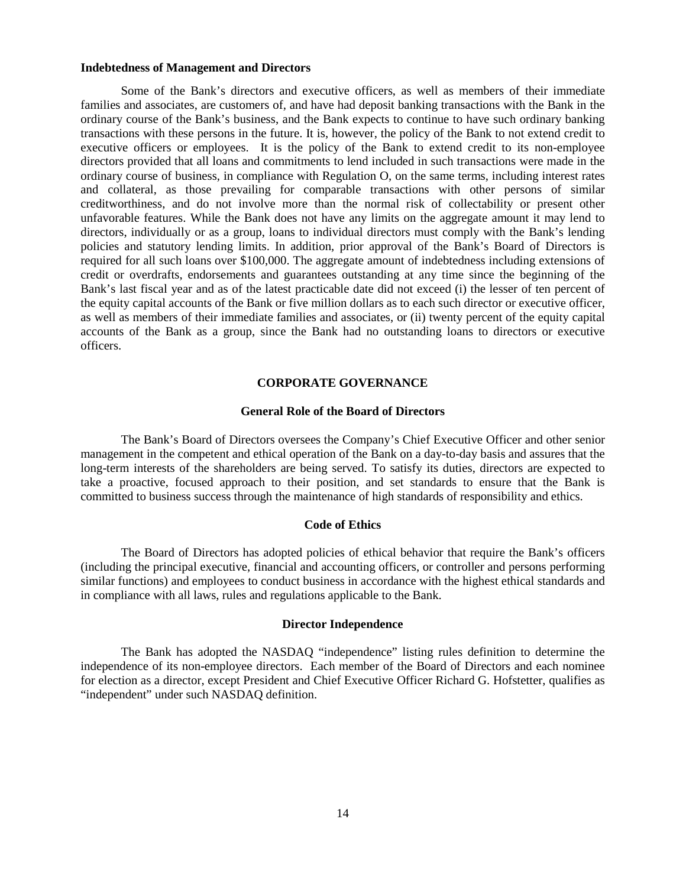### **Indebtedness of Management and Directors**

Some of the Bank's directors and executive officers, as well as members of their immediate families and associates, are customers of, and have had deposit banking transactions with the Bank in the ordinary course of the Bank's business, and the Bank expects to continue to have such ordinary banking transactions with these persons in the future. It is, however, the policy of the Bank to not extend credit to executive officers or employees. It is the policy of the Bank to extend credit to its non-employee directors provided that all loans and commitments to lend included in such transactions were made in the ordinary course of business, in compliance with Regulation O, on the same terms, including interest rates and collateral, as those prevailing for comparable transactions with other persons of similar creditworthiness, and do not involve more than the normal risk of collectability or present other unfavorable features. While the Bank does not have any limits on the aggregate amount it may lend to directors, individually or as a group, loans to individual directors must comply with the Bank's lending policies and statutory lending limits. In addition, prior approval of the Bank's Board of Directors is required for all such loans over \$100,000. The aggregate amount of indebtedness including extensions of credit or overdrafts, endorsements and guarantees outstanding at any time since the beginning of the Bank's last fiscal year and as of the latest practicable date did not exceed (i) the lesser of ten percent of the equity capital accounts of the Bank or five million dollars as to each such director or executive officer, as well as members of their immediate families and associates, or (ii) twenty percent of the equity capital accounts of the Bank as a group, since the Bank had no outstanding loans to directors or executive officers.

# **CORPORATE GOVERNANCE**

# **General Role of the Board of Directors**

The Bank's Board of Directors oversees the Company's Chief Executive Officer and other senior management in the competent and ethical operation of the Bank on a day-to-day basis and assures that the long-term interests of the shareholders are being served. To satisfy its duties, directors are expected to take a proactive, focused approach to their position, and set standards to ensure that the Bank is committed to business success through the maintenance of high standards of responsibility and ethics.

## **Code of Ethics**

The Board of Directors has adopted policies of ethical behavior that require the Bank's officers (including the principal executive, financial and accounting officers, or controller and persons performing similar functions) and employees to conduct business in accordance with the highest ethical standards and in compliance with all laws, rules and regulations applicable to the Bank.

#### **Director Independence**

The Bank has adopted the NASDAQ "independence" listing rules definition to determine the independence of its non-employee directors. Each member of the Board of Directors and each nominee for election as a director, except President and Chief Executive Officer Richard G. Hofstetter, qualifies as "independent" under such NASDAQ definition.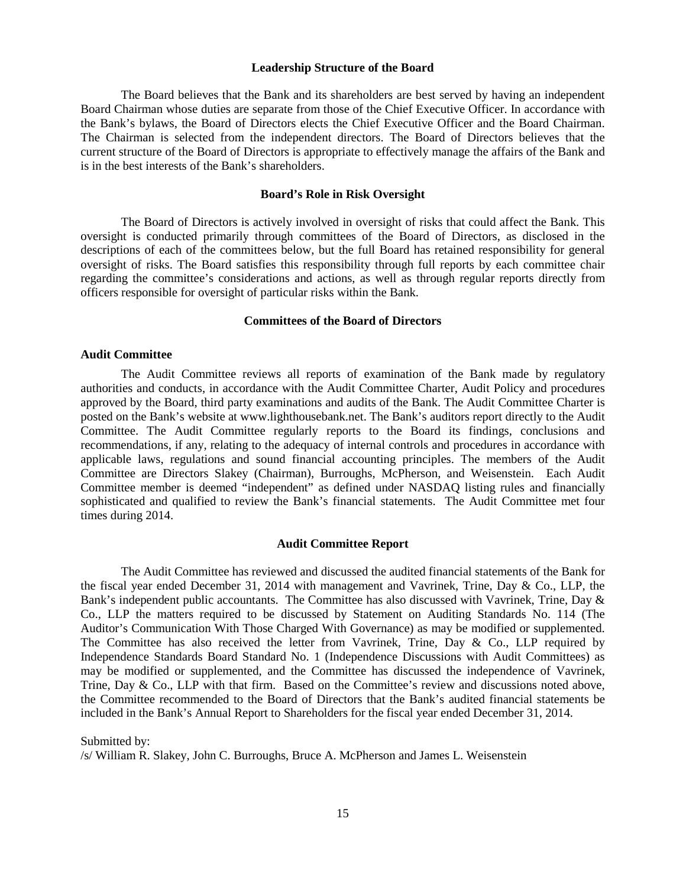### **Leadership Structure of the Board**

The Board believes that the Bank and its shareholders are best served by having an independent Board Chairman whose duties are separate from those of the Chief Executive Officer. In accordance with the Bank's bylaws, the Board of Directors elects the Chief Executive Officer and the Board Chairman. The Chairman is selected from the independent directors. The Board of Directors believes that the current structure of the Board of Directors is appropriate to effectively manage the affairs of the Bank and is in the best interests of the Bank's shareholders.

### **Board's Role in Risk Oversight**

The Board of Directors is actively involved in oversight of risks that could affect the Bank. This oversight is conducted primarily through committees of the Board of Directors, as disclosed in the descriptions of each of the committees below, but the full Board has retained responsibility for general oversight of risks. The Board satisfies this responsibility through full reports by each committee chair regarding the committee's considerations and actions, as well as through regular reports directly from officers responsible for oversight of particular risks within the Bank.

# **Committees of the Board of Directors**

#### **Audit Committee**

The Audit Committee reviews all reports of examination of the Bank made by regulatory authorities and conducts, in accordance with the Audit Committee Charter, Audit Policy and procedures approved by the Board, third party examinations and audits of the Bank. The Audit Committee Charter is posted on the Bank's website at www.lighthousebank.net. The Bank's auditors report directly to the Audit Committee. The Audit Committee regularly reports to the Board its findings, conclusions and recommendations, if any, relating to the adequacy of internal controls and procedures in accordance with applicable laws, regulations and sound financial accounting principles. The members of the Audit Committee are Directors Slakey (Chairman), Burroughs, McPherson, and Weisenstein. Each Audit Committee member is deemed "independent" as defined under NASDAQ listing rules and financially sophisticated and qualified to review the Bank's financial statements. The Audit Committee met four times during 2014.

#### **Audit Committee Report**

The Audit Committee has reviewed and discussed the audited financial statements of the Bank for the fiscal year ended December 31, 2014 with management and Vavrinek, Trine, Day & Co., LLP, the Bank's independent public accountants. The Committee has also discussed with Vavrinek, Trine, Day & Co., LLP the matters required to be discussed by Statement on Auditing Standards No. 114 (The Auditor's Communication With Those Charged With Governance) as may be modified or supplemented. The Committee has also received the letter from Vavrinek, Trine, Day & Co., LLP required by Independence Standards Board Standard No. 1 (Independence Discussions with Audit Committees) as may be modified or supplemented, and the Committee has discussed the independence of Vavrinek, Trine, Day & Co., LLP with that firm. Based on the Committee's review and discussions noted above, the Committee recommended to the Board of Directors that the Bank's audited financial statements be included in the Bank's Annual Report to Shareholders for the fiscal year ended December 31, 2014.

Submitted by:

/s/ William R. Slakey, John C. Burroughs, Bruce A. McPherson and James L. Weisenstein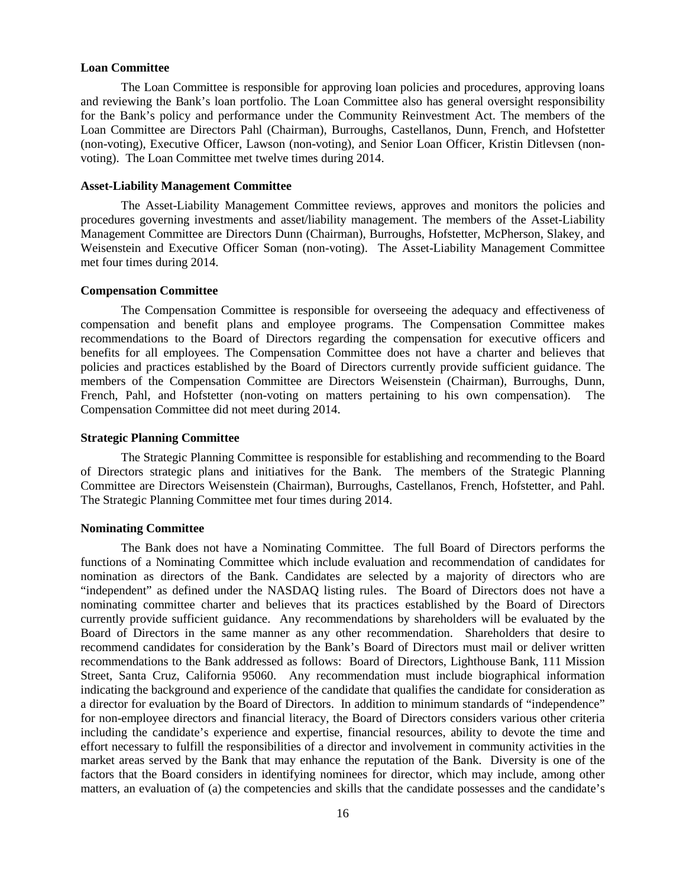### **Loan Committee**

The Loan Committee is responsible for approving loan policies and procedures, approving loans and reviewing the Bank's loan portfolio. The Loan Committee also has general oversight responsibility for the Bank's policy and performance under the Community Reinvestment Act. The members of the Loan Committee are Directors Pahl (Chairman), Burroughs, Castellanos, Dunn, French, and Hofstetter (non-voting), Executive Officer, Lawson (non-voting), and Senior Loan Officer, Kristin Ditlevsen (nonvoting). The Loan Committee met twelve times during 2014.

# **Asset-Liability Management Committee**

The Asset-Liability Management Committee reviews, approves and monitors the policies and procedures governing investments and asset/liability management. The members of the Asset-Liability Management Committee are Directors Dunn (Chairman), Burroughs, Hofstetter, McPherson, Slakey, and Weisenstein and Executive Officer Soman (non-voting). The Asset-Liability Management Committee met four times during 2014.

## **Compensation Committee**

The Compensation Committee is responsible for overseeing the adequacy and effectiveness of compensation and benefit plans and employee programs. The Compensation Committee makes recommendations to the Board of Directors regarding the compensation for executive officers and benefits for all employees. The Compensation Committee does not have a charter and believes that policies and practices established by the Board of Directors currently provide sufficient guidance. The members of the Compensation Committee are Directors Weisenstein (Chairman), Burroughs, Dunn, French, Pahl, and Hofstetter (non-voting on matters pertaining to his own compensation). The Compensation Committee did not meet during 2014.

## **Strategic Planning Committee**

The Strategic Planning Committee is responsible for establishing and recommending to the Board of Directors strategic plans and initiatives for the Bank. The members of the Strategic Planning Committee are Directors Weisenstein (Chairman), Burroughs, Castellanos, French, Hofstetter, and Pahl. The Strategic Planning Committee met four times during 2014.

#### **Nominating Committee**

The Bank does not have a Nominating Committee. The full Board of Directors performs the functions of a Nominating Committee which include evaluation and recommendation of candidates for nomination as directors of the Bank. Candidates are selected by a majority of directors who are "independent" as defined under the NASDAQ listing rules. The Board of Directors does not have a nominating committee charter and believes that its practices established by the Board of Directors currently provide sufficient guidance. Any recommendations by shareholders will be evaluated by the Board of Directors in the same manner as any other recommendation. Shareholders that desire to recommend candidates for consideration by the Bank's Board of Directors must mail or deliver written recommendations to the Bank addressed as follows: Board of Directors, Lighthouse Bank, 111 Mission Street, Santa Cruz, California 95060. Any recommendation must include biographical information indicating the background and experience of the candidate that qualifies the candidate for consideration as a director for evaluation by the Board of Directors. In addition to minimum standards of "independence" for non-employee directors and financial literacy, the Board of Directors considers various other criteria including the candidate's experience and expertise, financial resources, ability to devote the time and effort necessary to fulfill the responsibilities of a director and involvement in community activities in the market areas served by the Bank that may enhance the reputation of the Bank. Diversity is one of the factors that the Board considers in identifying nominees for director, which may include, among other matters, an evaluation of (a) the competencies and skills that the candidate possesses and the candidate's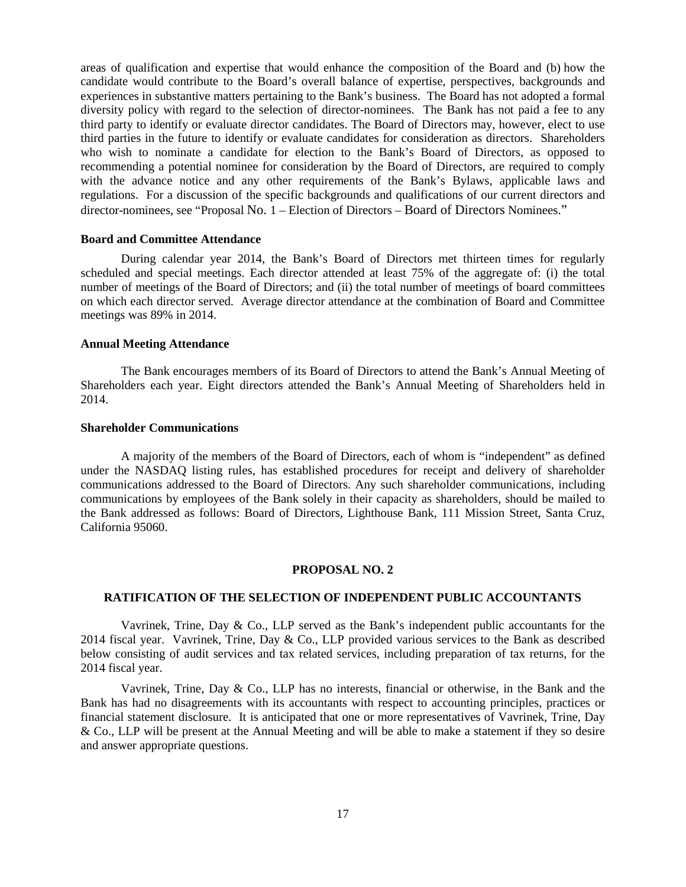areas of qualification and expertise that would enhance the composition of the Board and (b) how the candidate would contribute to the Board's overall balance of expertise, perspectives, backgrounds and experiences in substantive matters pertaining to the Bank's business. The Board has not adopted a formal diversity policy with regard to the selection of director-nominees. The Bank has not paid a fee to any third party to identify or evaluate director candidates. The Board of Directors may, however, elect to use third parties in the future to identify or evaluate candidates for consideration as directors. Shareholders who wish to nominate a candidate for election to the Bank's Board of Directors, as opposed to recommending a potential nominee for consideration by the Board of Directors, are required to comply with the advance notice and any other requirements of the Bank's Bylaws, applicable laws and regulations. For a discussion of the specific backgrounds and qualifications of our current directors and director-nominees, see "Proposal No. 1 – Election of Directors – Board of Directors Nominees."

#### **Board and Committee Attendance**

During calendar year 2014, the Bank's Board of Directors met thirteen times for regularly scheduled and special meetings. Each director attended at least 75% of the aggregate of: (i) the total number of meetings of the Board of Directors; and (ii) the total number of meetings of board committees on which each director served. Average director attendance at the combination of Board and Committee meetings was 89% in 2014.

### **Annual Meeting Attendance**

The Bank encourages members of its Board of Directors to attend the Bank's Annual Meeting of Shareholders each year. Eight directors attended the Bank's Annual Meeting of Shareholders held in 2014.

#### **Shareholder Communications**

A majority of the members of the Board of Directors, each of whom is "independent" as defined under the NASDAQ listing rules, has established procedures for receipt and delivery of shareholder communications addressed to the Board of Directors. Any such shareholder communications, including communications by employees of the Bank solely in their capacity as shareholders, should be mailed to the Bank addressed as follows: Board of Directors, Lighthouse Bank, 111 Mission Street, Santa Cruz, California 95060.

#### **PROPOSAL NO. 2**

## **RATIFICATION OF THE SELECTION OF INDEPENDENT PUBLIC ACCOUNTANTS**

Vavrinek, Trine, Day & Co., LLP served as the Bank's independent public accountants for the 2014 fiscal year. Vavrinek, Trine, Day & Co., LLP provided various services to the Bank as described below consisting of audit services and tax related services, including preparation of tax returns, for the 2014 fiscal year.

Vavrinek, Trine, Day  $\&$  Co., LLP has no interests, financial or otherwise, in the Bank and the Bank has had no disagreements with its accountants with respect to accounting principles, practices or financial statement disclosure. It is anticipated that one or more representatives of Vavrinek, Trine, Day & Co., LLP will be present at the Annual Meeting and will be able to make a statement if they so desire and answer appropriate questions.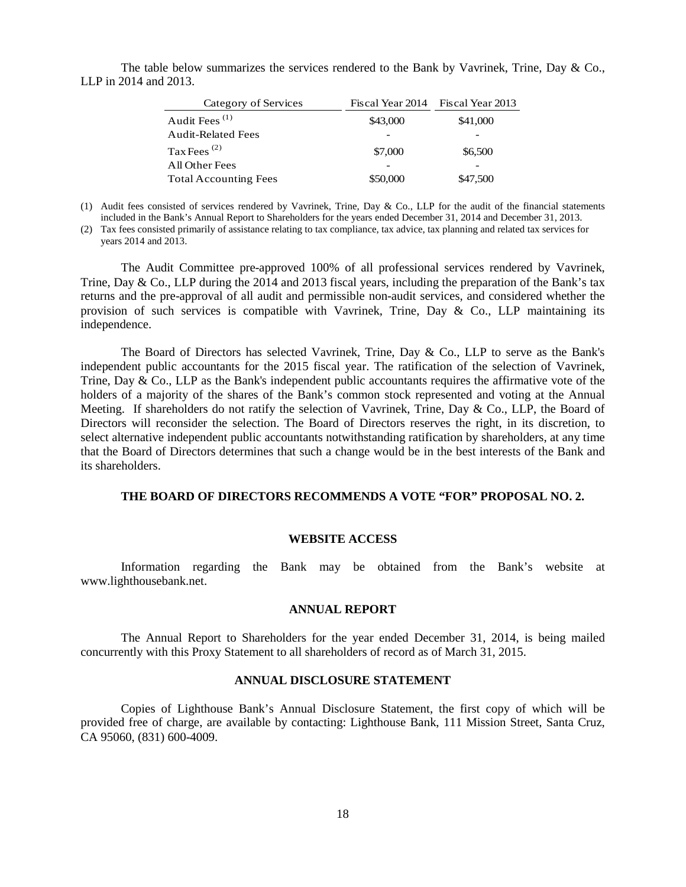The table below summarizes the services rendered to the Bank by Vavrinek, Trine, Day & Co., LLP in 2014 and 2013.

| Category of Services         | Fiscal Year 2014 Fiscal Year 2013 |          |
|------------------------------|-----------------------------------|----------|
| Audit Fees $^{(1)}$          | \$43,000                          | \$41,000 |
| Audit-Related Fees           |                                   |          |
| Tax Fees $^{(2)}$            | \$7,000                           | \$6,500  |
| All Other Fees               |                                   |          |
| <b>Total Accounting Fees</b> | \$50,000                          | \$47,500 |
|                              |                                   |          |

- (1) Audit fees consisted of services rendered by Vavrinek, Trine, Day & Co., LLP for the audit of the financial statements included in the Bank's Annual Report to Shareholders for the years ended December 31, 2014 and December 31, 2013.
- (2) Tax fees consisted primarily of assistance relating to tax compliance, tax advice, tax planning and related tax services for years 2014 and 2013.

The Audit Committee pre-approved 100% of all professional services rendered by Vavrinek, Trine, Day & Co., LLP during the 2014 and 2013 fiscal years, including the preparation of the Bank's tax returns and the pre-approval of all audit and permissible non-audit services, and considered whether the provision of such services is compatible with Vavrinek, Trine, Day  $\&$  Co., LLP maintaining its independence.

The Board of Directors has selected Vavrinek, Trine, Day & Co., LLP to serve as the Bank's independent public accountants for the 2015 fiscal year. The ratification of the selection of Vavrinek, Trine, Day & Co., LLP as the Bank's independent public accountants requires the affirmative vote of the holders of a majority of the shares of the Bank's common stock represented and voting at the Annual Meeting. If shareholders do not ratify the selection of Vavrinek, Trine, Day & Co., LLP, the Board of Directors will reconsider the selection. The Board of Directors reserves the right, in its discretion, to select alternative independent public accountants notwithstanding ratification by shareholders, at any time that the Board of Directors determines that such a change would be in the best interests of the Bank and its shareholders.

### **THE BOARD OF DIRECTORS RECOMMENDS A VOTE "FOR" PROPOSAL NO. 2.**

#### **WEBSITE ACCESS**

Information regarding the Bank may be obtained from the Bank's website at www.lighthousebank.net.

## **ANNUAL REPORT**

The Annual Report to Shareholders for the year ended December 31, 2014, is being mailed concurrently with this Proxy Statement to all shareholders of record as of March 31, 2015.

#### **ANNUAL DISCLOSURE STATEMENT**

Copies of Lighthouse Bank's Annual Disclosure Statement, the first copy of which will be provided free of charge, are available by contacting: Lighthouse Bank, 111 Mission Street, Santa Cruz, CA 95060, (831) 600-4009.